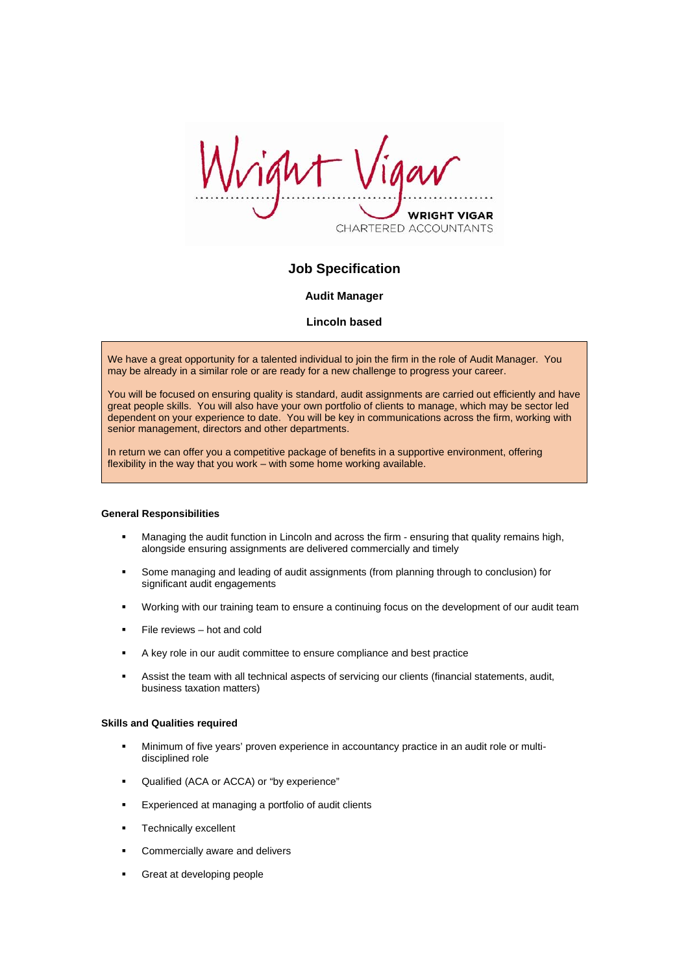ight VRIGHT VIGAR CHARTERED ACCOUNTANTS

# **Job Specification**

# **Audit Manager**

# **Lincoln based**

We have a great opportunity for a talented individual to join the firm in the role of Audit Manager. You may be already in a similar role or are ready for a new challenge to progress your career.

You will be focused on ensuring quality is standard, audit assignments are carried out efficiently and have great people skills. You will also have your own portfolio of clients to manage, which may be sector led dependent on your experience to date. You will be key in communications across the firm, working with senior management, directors and other departments.

In return we can offer you a competitive package of benefits in a supportive environment, offering flexibility in the way that you work – with some home working available.

## **General Responsibilities**

- Managing the audit function in Lincoln and across the firm ensuring that quality remains high, alongside ensuring assignments are delivered commercially and timely
- Some managing and leading of audit assignments (from planning through to conclusion) for significant audit engagements
- Working with our training team to ensure a continuing focus on the development of our audit team
- $F =$ File reviews hot and cold
- A key role in our audit committee to ensure compliance and best practice
- Assist the team with all technical aspects of servicing our clients (financial statements, audit, business taxation matters)

#### **Skills and Qualities required**

- Minimum of five years' proven experience in accountancy practice in an audit role or multidisciplined role
- Qualified (ACA or ACCA) or "by experience"
- Experienced at managing a portfolio of audit clients
- **Technically excellent**
- **EXECOMMERCIALLY ARE COMMERCIALLY AVAILT**
- **Great at developing people**